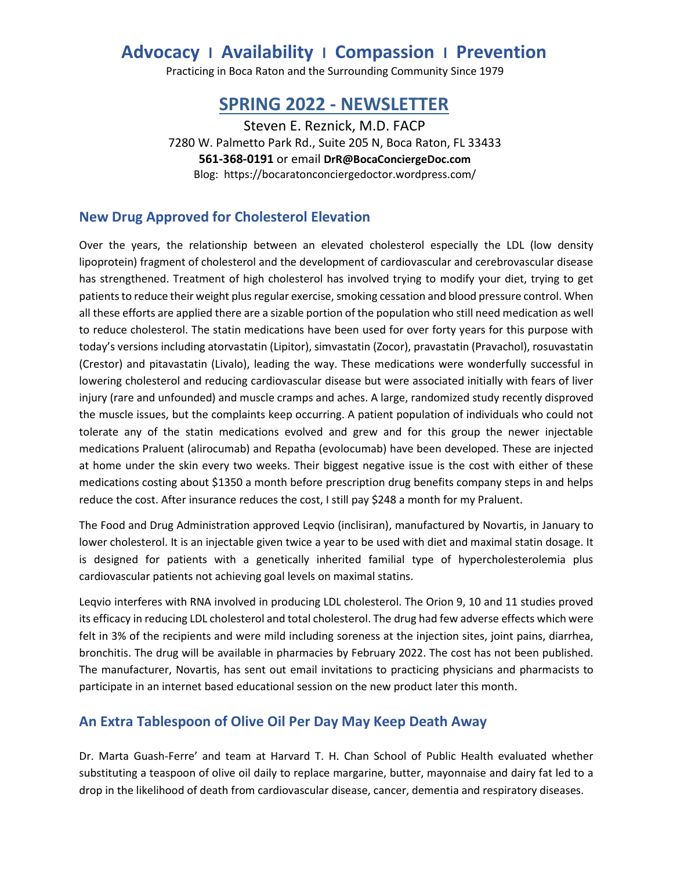# **Advocacy l Availability l Compassion l Prevention**

Practicing in Boca Raton and the Surrounding Community Since 1979

# **SPRING 2022 - NEWSLETTER**

Steven E. Reznick, M.D. FACP 7280 W. Palmetto Park Rd., Suite 205 N, Boca Raton, FL 33433 **561-368-0191** or email **DrR@BocaConciergeDoc.com** Blog: https://bocaratonconciergedoctor.wordpress.com/

#### **New Drug Approved for Cholesterol Elevation**

Over the years, the relationship between an elevated cholesterol especially the LDL (low density lipoprotein) fragment of cholesterol and the development of cardiovascular and cerebrovascular disease has strengthened. Treatment of high cholesterol has involved trying to modify your diet, trying to get patients to reduce their weight plus regular exercise, smoking cessation and blood pressure control. When all these efforts are applied there are a sizable portion of the population who still need medication as well to reduce cholesterol. The statin medications have been used for over forty years for this purpose with today's versions including atorvastatin (Lipitor), simvastatin (Zocor), pravastatin (Pravachol), rosuvastatin (Crestor) and pitavastatin (Livalo), leading the way. These medications were wonderfully successful in lowering cholesterol and reducing cardiovascular disease but were associated initially with fears of liver injury (rare and unfounded) and muscle cramps and aches. A large, randomized study recently disproved the muscle issues, but the complaints keep occurring. A patient population of individuals who could not tolerate any of the statin medications evolved and grew and for this group the newer injectable medications Praluent (alirocumab) and Repatha (evolocumab) have been developed. These are injected at home under the skin every two weeks. Their biggest negative issue is the cost with either of these medications costing about \$1350 a month before prescription drug benefits company steps in and helps reduce the cost. After insurance reduces the cost, I still pay \$248 a month for my Praluent.

The Food and Drug Administration approved Leqvio (inclisiran), manufactured by Novartis, in January to lower cholesterol. It is an injectable given twice a year to be used with diet and maximal statin dosage. It is designed for patients with a genetically inherited familial type of hypercholesterolemia plus cardiovascular patients not achieving goal levels on maximal statins.

Leqvio interferes with RNA involved in producing LDL cholesterol. The Orion 9, 10 and 11 studies proved its efficacy in reducing LDL cholesterol and total cholesterol. The drug had few adverse effects which were felt in 3% of the recipients and were mild including soreness at the injection sites, joint pains, diarrhea, bronchitis. The drug will be available in pharmacies by February 2022. The cost has not been published. The manufacturer, Novartis, has sent out email invitations to practicing physicians and pharmacists to participate in an internet based educational session on the new product later this month.

#### **An Extra Tablespoon of Olive Oil Per Day May Keep Death Away**

Dr. Marta Guash-Ferre' and team at Harvard T. H. Chan School of Public Health evaluated whether substituting a teaspoon of olive oil daily to replace margarine, butter, mayonnaise and dairy fat led to a drop in the likelihood of death from cardiovascular disease, cancer, dementia and respiratory diseases.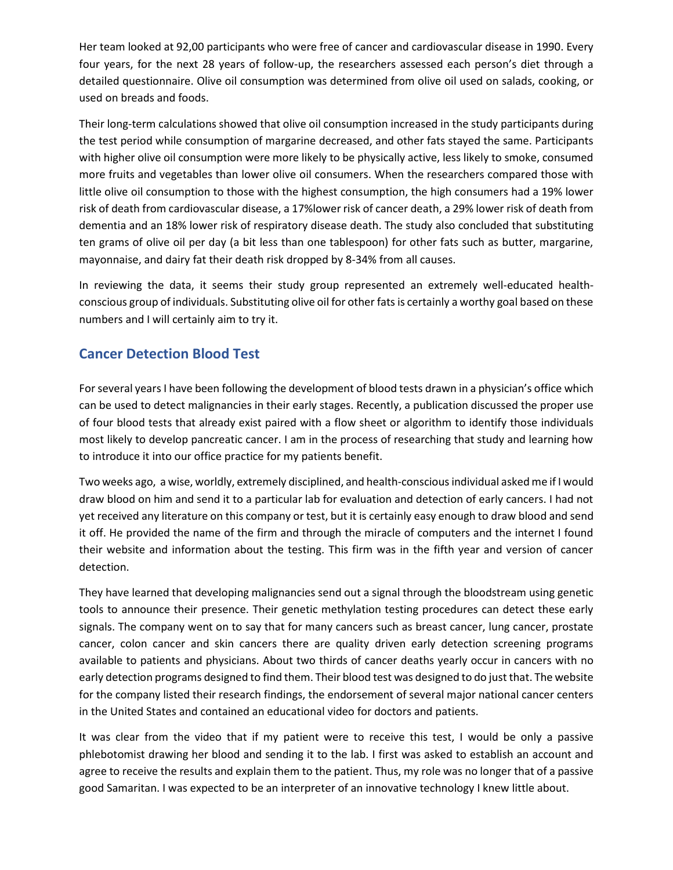Her team looked at 92,00 participants who were free of cancer and cardiovascular disease in 1990. Every four years, for the next 28 years of follow-up, the researchers assessed each person's diet through a detailed questionnaire. Olive oil consumption was determined from olive oil used on salads, cooking, or used on breads and foods.

Their long-term calculations showed that olive oil consumption increased in the study participants during the test period while consumption of margarine decreased, and other fats stayed the same. Participants with higher olive oil consumption were more likely to be physically active, less likely to smoke, consumed more fruits and vegetables than lower olive oil consumers. When the researchers compared those with little olive oil consumption to those with the highest consumption, the high consumers had a 19% lower risk of death from cardiovascular disease, a 17%lower risk of cancer death, a 29% lower risk of death from dementia and an 18% lower risk of respiratory disease death. The study also concluded that substituting ten grams of olive oil per day (a bit less than one tablespoon) for other fats such as butter, margarine, mayonnaise, and dairy fat their death risk dropped by 8-34% from all causes.

In reviewing the data, it seems their study group represented an extremely well-educated healthconscious group of individuals. Substituting olive oil for other fats is certainly a worthy goal based on these numbers and I will certainly aim to try it.

## **Cancer Detection Blood Test**

For several years I have been following the development of blood tests drawn in a physician's office which can be used to detect malignancies in their early stages. Recently, a publication discussed the proper use of four blood tests that already exist paired with a flow sheet or algorithm to identify those individuals most likely to develop pancreatic cancer. I am in the process of researching that study and learning how to introduce it into our office practice for my patients benefit.

Two weeks ago, a wise, worldly, extremely disciplined, and health-conscious individual asked me if I would draw blood on him and send it to a particular lab for evaluation and detection of early cancers. I had not yet received any literature on this company or test, but it is certainly easy enough to draw blood and send it off. He provided the name of the firm and through the miracle of computers and the internet I found their website and information about the testing. This firm was in the fifth year and version of cancer detection.

They have learned that developing malignancies send out a signal through the bloodstream using genetic tools to announce their presence. Their genetic methylation testing procedures can detect these early signals. The company went on to say that for many cancers such as breast cancer, lung cancer, prostate cancer, colon cancer and skin cancers there are quality driven early detection screening programs available to patients and physicians. About two thirds of cancer deaths yearly occur in cancers with no early detection programs designed to find them. Their blood test was designed to do just that. The website for the company listed their research findings, the endorsement of several major national cancer centers in the United States and contained an educational video for doctors and patients.

It was clear from the video that if my patient were to receive this test, I would be only a passive phlebotomist drawing her blood and sending it to the lab. I first was asked to establish an account and agree to receive the results and explain them to the patient. Thus, my role was no longer that of a passive good Samaritan. I was expected to be an interpreter of an innovative technology I knew little about.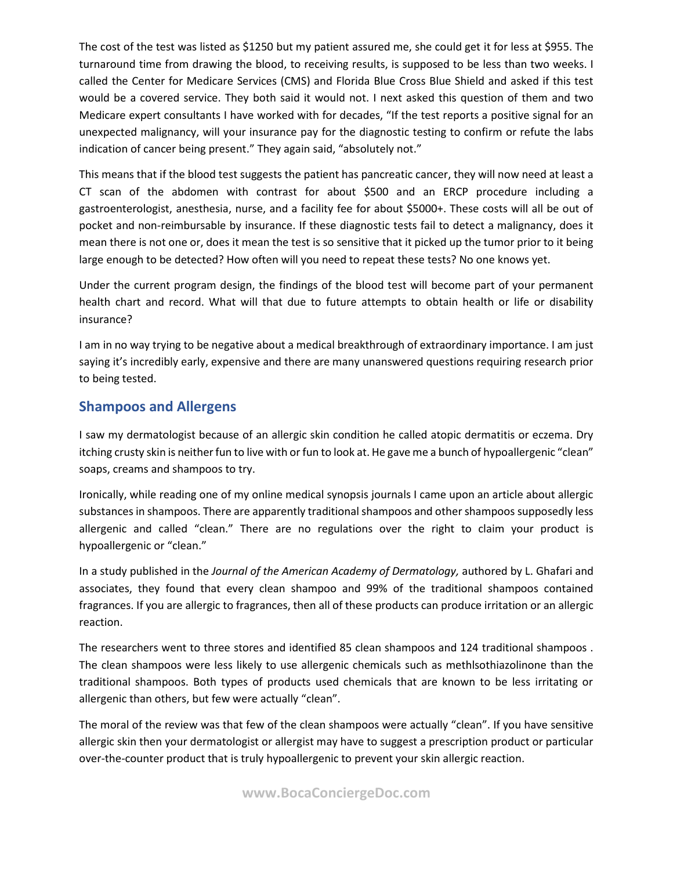The cost of the test was listed as \$1250 but my patient assured me, she could get it for less at \$955. The turnaround time from drawing the blood, to receiving results, is supposed to be less than two weeks. I called the Center for Medicare Services (CMS) and Florida Blue Cross Blue Shield and asked if this test would be a covered service. They both said it would not. I next asked this question of them and two Medicare expert consultants I have worked with for decades, "If the test reports a positive signal for an unexpected malignancy, will your insurance pay for the diagnostic testing to confirm or refute the labs indication of cancer being present." They again said, "absolutely not."

This means that if the blood test suggests the patient has pancreatic cancer, they will now need at least a CT scan of the abdomen with contrast for about \$500 and an ERCP procedure including a gastroenterologist, anesthesia, nurse, and a facility fee for about \$5000+. These costs will all be out of pocket and non-reimbursable by insurance. If these diagnostic tests fail to detect a malignancy, does it mean there is not one or, does it mean the test is so sensitive that it picked up the tumor prior to it being large enough to be detected? How often will you need to repeat these tests? No one knows yet.

Under the current program design, the findings of the blood test will become part of your permanent health chart and record. What will that due to future attempts to obtain health or life or disability insurance?

I am in no way trying to be negative about a medical breakthrough of extraordinary importance. I am just saying it's incredibly early, expensive and there are many unanswered questions requiring research prior to being tested.

### **Shampoos and Allergens**

I saw my dermatologist because of an allergic skin condition he called atopic dermatitis or eczema. Dry itching crusty skin is neither fun to live with or fun to look at. He gave me a bunch of hypoallergenic "clean" soaps, creams and shampoos to try.

Ironically, while reading one of my online medical synopsis journals I came upon an article about allergic substances in shampoos. There are apparently traditional shampoos and other shampoos supposedly less allergenic and called "clean." There are no regulations over the right to claim your product is hypoallergenic or "clean."

In a study published in the *Journal of the American Academy of Dermatology,* authored by L. Ghafari and associates, they found that every clean shampoo and 99% of the traditional shampoos contained fragrances. If you are allergic to fragrances, then all of these products can produce irritation or an allergic reaction.

The researchers went to three stores and identified 85 clean shampoos and 124 traditional shampoos . The clean shampoos were less likely to use allergenic chemicals such as methlsothiazolinone than the traditional shampoos. Both types of products used chemicals that are known to be less irritating or allergenic than others, but few were actually "clean".

The moral of the review was that few of the clean shampoos were actually "clean". If you have sensitive allergic skin then your dermatologist or allergist may have to suggest a prescription product or particular over-the-counter product that is truly hypoallergenic to prevent your skin allergic reaction.